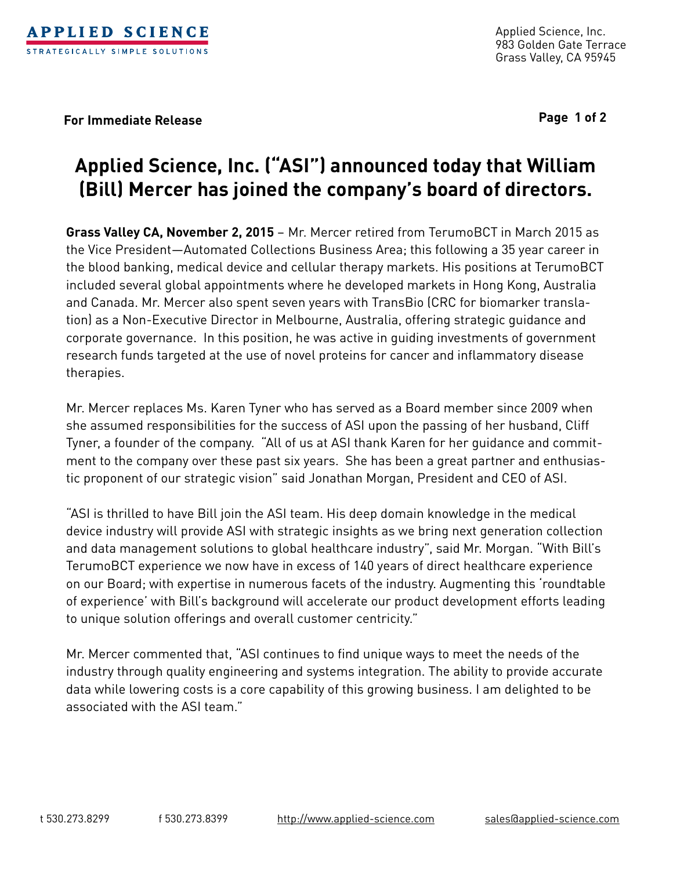

**For Immediate Release Page 1 of 2**

## **Applied Science, Inc. ("ASI") announced today that William (Bill) Mercer has joined the company's board of directors.**

**Grass Valley CA, November 2, 2015** – Mr. Mercer retired from TerumoBCT in March 2015 as the Vice President—Automated Collections Business Area; this following a 35 year career in the blood banking, medical device and cellular therapy markets. His positions at TerumoBCT included several global appointments where he developed markets in Hong Kong, Australia and Canada. Mr. Mercer also spent seven years with TransBio (CRC for biomarker translation) as a Non-Executive Director in Melbourne, Australia, offering strategic guidance and corporate governance. In this position, he was active in guiding investments of government research funds targeted at the use of novel proteins for cancer and inflammatory disease therapies.

Mr. Mercer replaces Ms. Karen Tyner who has served as a Board member since 2009 when she assumed responsibilities for the success of ASI upon the passing of her husband, Cliff Tyner, a founder of the company. "All of us at ASI thank Karen for her guidance and commitment to the company over these past six years. She has been a great partner and enthusiastic proponent of our strategic vision" said Jonathan Morgan, President and CEO of ASI.

"ASI is thrilled to have Bill join the ASI team. His deep domain knowledge in the medical device industry will provide ASI with strategic insights as we bring next generation collection and data management solutions to global healthcare industry", said Mr. Morgan. "With Bill's TerumoBCT experience we now have in excess of 140 years of direct healthcare experience on our Board; with expertise in numerous facets of the industry. Augmenting this 'roundtable of experience' with Bill's background will accelerate our product development efforts leading to unique solution offerings and overall customer centricity."

Mr. Mercer commented that, "ASI continues to find unique ways to meet the needs of the industry through quality engineering and systems integration. The ability to provide accurate data while lowering costs is a core capability of this growing business. I am delighted to be associated with the ASI team."